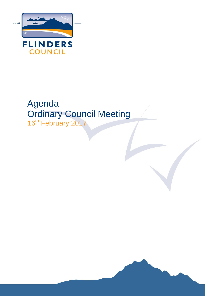

# Agenda Ordinary Council Meeting 16<sup>th</sup> February 2017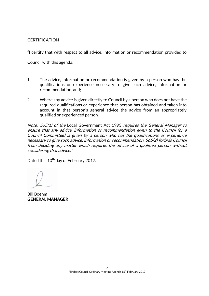# **CERTIFICATION**

"I certify that with respect to all advice, information or recommendation provided to

Council with this agenda:

- 1. The advice, information or recommendation is given by a person who has the qualifications or experience necessary to give such advice, information or recommendation, and;
- 2. Where any advice is given directly to Council by a person who does not have the required qualifications or experience that person has obtained and taken into account in that person's general advice the advice from an appropriately qualified or experienced person.

Note:  $565(1)$  of the Local Government Act 1993 requires the General Manager to ensure that any advice, information or recommendation given to the Council (or a Council Committee) is given by a person who has the qualifications or experience necessary to give such advice, information or recommendation. S65(2) forbids Council from deciding any matter which requires the advice of a qualified person without considering that advice."

Dated this 10<sup>th</sup> day of February 2017.

Bill Boehm GENERAL MANAGER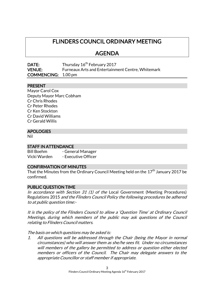# FLINDERS COUNCIL ORDINARY MEETING

# AGENDA

| DATE:                      | Thursday 16 <sup>th</sup> February 2017                  |
|----------------------------|----------------------------------------------------------|
| <b>VENUE:</b>              | <b>Furneaux Arts and Entertainment Centre, Whitemark</b> |
| <b>COMMENCING:</b> 1.00 pm |                                                          |

# PRESENT

Mayor Carol Cox Deputy Mayor Marc Cobham Cr Chris Rhodes Cr Peter Rhodes Cr Ken Stockton Cr David Williams Cr Gerald Willis

### APOLOGIES

Nil

### STAFF IN ATTENDANCE

Bill Boehm - General Manager Vicki Warden - Executive Officer

# CONFIRMATION OF MINUTES

That the Minutes from the Ordinary Council Meeting held on the  $17^{\text{th}}$  January 2017 be confirmed.

### PUBLIC QUESTION TIME

In accordance with Section 31 (1) of the Local Government (Meeting Procedures) Regulations 2015 and the Flinders Council Policy the following procedures be adhered to at public question time:-

It is the policy of the Flinders Council to allow a 'Question Time' at Ordinary Council Meetings, during which members of the public may ask questions of the Council relating to Flinders Council matters.

The basis on which questions may be asked is:

1. All questions will be addressed through the Chair (being the Mayor in normal circumstances) who will answer them as she/he sees fit. Under no circumstances will members of the gallery be permitted to address or question either elected members or officers of the Council. The Chair may delegate answers to the appropriate Councillor or staff member if appropriate.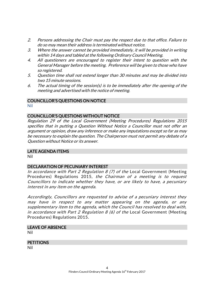- 2. Persons addressing the Chair must pay the respect due to that office. Failure to do so may mean their address is terminated without notice.
- 3. Where the answer cannot be provided immediately, it will be provided in writing within 14 days and tabled at the following Ordinary Council Meeting.
- 4. All questioners are encouraged to register their intent to question with the General Manager before the meeting. Preference will be given to those who have so registered.
- 5. Question time shall not extend longer than 30 minutes and may be divided into two 15 minute sessions.
- 6. The actual timing of the session(s) is to be immediately after the opening of the meeting and advertised with the notice of meeting.

# COUNCILLOR'S QUESTIONS ON NOTICE

Nil

# COUNCILLOR'S QUESTIONS WITHOUT NOTICE

Regulation 29 of the Local Government (Meeting Procedures) Regulations 2015 specifies that in putting a Question Without Notice a Councillor must not offer an argument or opinion, draw any inference or make any imputations except so far as may be necessary to explain the question. The Chairperson must not permit any debate of a Question without Notice or its answer.

# LATE AGENDA ITEMS

Nil

# DECLARATION OF PECUNIARY INTEREST

In accordance with Part 2 Regulation 8 (7) of the Local Government (Meeting Procedures) Regulations 2015, the Chairman of a meeting is to request Councillors to indicate whether they have, or are likely to have, a pecuniary interest in any item on the agenda.

Accordingly, Councillors are requested to advise of a pecuniary interest they may have in respect to any matter appearing on the agenda, or any supplementary item to the agenda, which the Council has resolved to deal with, in accordance with Part 2 Regulation 8 (6) of the Local Government (Meeting Procedures) Regulations 2015.

# LEAVE OF ABSENCE

Nil

# **PETITIONS**

Nil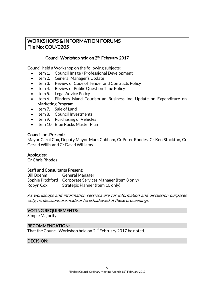# WORKSHOPS & INFORMATION FORUMS File No: COU/0205

# Council Workshop held on 2<sup>nd</sup> February 2017

Council held a Workshop on the following subjects:

- Item 1. Council Image / Professional Development
- Item 2. General Manager's Update
- Item 3. Review of Code of Tender and Contracts Policy
- Item 4. Review of Public Question Time Policy
- $\bullet$  Item 5. Legal Advice Policy
- Item 6. Flinders Island Tourism ad Business Inc. Update on Expenditure on Marketing Program
- Item 7. Sale of Land
- Item 8. Council Investments
- Item 9. Purchasing of Vehicles
- Item 10. Blue Rocks Master Plan

### Councillors Present:

Mayor Carol Cox, Deputy Mayor Marc Cobham, Cr Peter Rhodes, Cr Ken Stockton, Cr Gerald Willis and Cr David Williams.

### Apologies:

Cr Chris Rhodes

# Staff and Consultants Present:

Bill Boehm General Manager Sophie Pitchford Corporate Services Manager (Item 8 only) Robyn Cox Strategic Planner (Item 10 only)

As workshops and information sessions are for information and discussion purposes only, no decisions are made or foreshadowed at these proceedings.

# VOTING REQUIREMENTS:

Simple Majority

### RECOMMENDATION:

That the Council Workshop held on 2<sup>nd</sup> February 2017 be noted.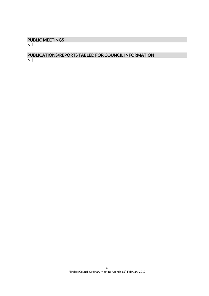# PUBLIC MEETINGS

Nil

### PUBLICATIONS/REPORTS TABLED FOR COUNCIL INFORMATION Nil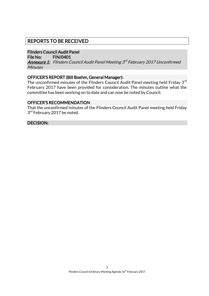# REPORTS TO BE RECEIVED

# Flinders Council Audit Panel

File No: FIN/0401

**<u>Annexure 1:</u> Flinders Council Audit Panel Meeting 3<sup>rd</sup> February 2017 Unconfirmed Minutes** 

# OFFICER'S REPORT (Bill Boehm, General Manager):

The unconfirmed minutes of the Flinders Council Audit Panel meeting held Friday 3<sup>rd</sup> February 2017 have been provided for consideration. The minutes outline what the committee has been working on to date and can now be noted by Council.

### OFFICER'S RECOMMENDATION

That the unconfirmed minutes of the Flinders Council Audit Panel meeting held Friday 3<sup>rd</sup> February 2017 be noted.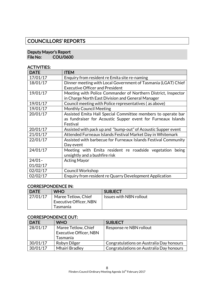# COUNCILLORS' REPORTS

### Deputy Mayor's Report<br>File No: COU/060 COU/0600

### ACTIVITIES:

| <b>DATE</b> | <b>ITEM</b>                                                    |
|-------------|----------------------------------------------------------------|
| 17/01/17    | Enquiry from resident re Emita site re-naming                  |
| 18/01/17    | Dinner meeting with Local Government of Tasmania (LGAT) Chief  |
|             | <b>Executive Officer and President</b>                         |
| 19/01/17    | Meeting with Police Commander of Northern District, Inspector  |
|             | in Charge North East Division and General Manager              |
| 19/01/17    | Council meeting with Police representatives (as above)         |
| 19/01/17    | <b>Monthly Council Meeting</b>                                 |
| 20/01/17    | Assisted Emita Hall Special Committee members to operate bar   |
|             | as fundraiser for Acoustic Supper event for Furneaux Islands   |
|             | Festival                                                       |
| 20/01/17    | Assisted with pack up and "bump-out" of Acoustic Supper event  |
| 21/01/17    | Attended Furneaux Islands Festival Market Day in Whitemark     |
| 22/01/17    | Assisted with barbecue for Furneaux Islands Festival Community |
|             | Day event                                                      |
| 24/01/17    | Meeting with Emita resident re roadside vegetation<br>being    |
|             | unsightly and a bushfire risk                                  |
| $24/01 -$   | <b>Acting Mayor</b>                                            |
| 01/02/17    |                                                                |
| 02/02/17    | <b>Council Workshop</b>                                        |
| 02/02/17    | Enquiry from resident re Quarry Development Application        |

### CORRESPONDENCE IN:

| <b>DATE</b> | <b>WHO</b>                    | <b>SUBJECT</b>          |
|-------------|-------------------------------|-------------------------|
| 27/01/17    | Maree Tetlow, Chief           | Issues with NBN rollout |
|             | <b>Executive Officer, NBN</b> |                         |
|             | Tasmania                      |                         |

### CORRESPONDENCE OUT:

| <b>DATE</b> | <b>WHO</b>                    | <b>SUBJECT</b>                           |
|-------------|-------------------------------|------------------------------------------|
| 28/01/17    | Maree Tetlow, Chief           | Response re NBN rollout                  |
|             | <b>Executive Officer, NBN</b> |                                          |
|             | Tasmania                      |                                          |
| 30/01/17    | Robyn Dilger                  | Congratulations on Australia Day honours |
| 30/01/17    | <b>Mhairi Bradley</b>         | Congratulations on Australia Day honours |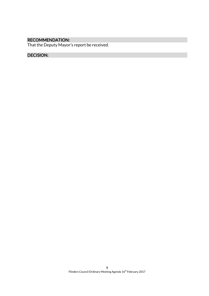# RECOMMENDATION:

That the Deputy Mayor's report be received.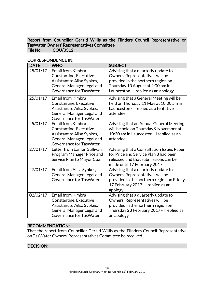# Report from Councillor Gerald Willis as the Flinders Council Representative on TasWater Owners' Representatives Committee COU/0312

| <b>DATE</b> | <b>WHO</b>                                                                                                                               | <b>SUBJECT</b>                                                                                                                                                                           |
|-------------|------------------------------------------------------------------------------------------------------------------------------------------|------------------------------------------------------------------------------------------------------------------------------------------------------------------------------------------|
| 25/01/17    | <b>Email from Kimbra</b><br>Constantine, Executive<br>Assistant to Ailsa Sypkes,<br>General Manager Legal and<br>Governance for TasWater | Advising that a quarterly update to<br>Owners' Representatives will be<br>provided in the northern region on<br>Thursday 10 August at 2:00 pm in<br>Launceston - I replied as an apology |
| 25/01/17    | <b>Email from Kimbra</b><br>Constantine, Executive<br>Assistant to Ailsa Sypkes,<br>General Manager Legal and<br>Governance for TasWater | Advising that a General Meeting will be<br>held on Thursday 11 May at 10:00 am in<br>Launceston - I replied as a tentative<br>attendee                                                   |
| 25/01/17    | <b>Email from Kimbra</b><br>Constantine, Executive<br>Assistant to Ailsa Sypkes,<br>General Manager Legal and<br>Governance for TasWater | Advising that an Annual General Meeting<br>will be held on Thursday 9 November at<br>10:30 am in Launceston - I replied as an<br>attendee.                                               |
| 27/01/17    | Letter from Eamon Sullivan,<br>Program Manager Price and<br>Service Plan to Mayor Cox                                                    | Advising that a Consultation Issues Paper<br>for Price and Service Plan 3 had been<br>released and that submissions can be<br>made until 17 February 2017                                |
| 27/01/17    | Email from Ailsa Sypkes,<br>General Manager Legal and<br>Governance for TasWater                                                         | Advising that a quarterly update to<br>Owners' Representatives will be<br>provided in the northern region on Friday<br>17 February 2017 - I replied as an<br>apology                     |
| 02/02/17    | <b>Email from Kimbra</b><br>Constantine, Executive<br>Assistant to Ailsa Sypkes,<br>General Manager Legal and<br>Governance for TasWater | Advising that a quarterly update to<br>Owners' Representatives will be<br>provided in the northern region on<br>Thursday 23 February 2017 - I replied as<br>an apology                   |

# CORRESPONDENCE IN:

### RECOMMENDATION:

That the report from Councillor Gerald Willis as the Flinders Council Representative on TasWater Owners' Representatives Committee be received.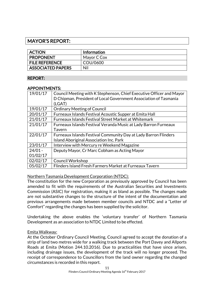# MAYOR'S REPORT:

| <b>ACTION</b>            | <b>Information</b> |
|--------------------------|--------------------|
| <b>PROPONENT</b>         | Mayor C Cox        |
| <b>FILE REFERENCE</b>    | COU/0600           |
| <b>ASSOCIATED PAPERS</b> | Nil                |

# REPORT:

### APPOINTMENTS:

| 19/01/17  | Council Meeting with K Stephenson, Chief Executive Officer and Mayor<br>D Chipman, President of Local Government Association of Tasmania<br>(LGAT) |
|-----------|----------------------------------------------------------------------------------------------------------------------------------------------------|
| 19/01/17  | <b>Ordinary Meeting of Council</b>                                                                                                                 |
| 20/01/17  | Furneaux Islands Festival Acoustic Supper at Emita Hall                                                                                            |
| 21/01/17  | <b>Furneaux Islands Festival Street Market at Whitemark</b>                                                                                        |
| 21/01/17  | Furneaux Islands Festival Veranda Music at Lady Barron Furneaux                                                                                    |
|           | Tavern                                                                                                                                             |
| 22/01/17  | <b>Furneaux Islands Festival Community Day at Lady Barron Flinders</b>                                                                             |
|           | <b>Island Aboriginal Association Inc. Park</b>                                                                                                     |
| 23/01/17  | Interview with Mercury re Weekend Magazine                                                                                                         |
| $24/01 -$ | Deputy Mayor, Cr Marc Cobham as Acting Mayor                                                                                                       |
| 01/02/17  |                                                                                                                                                    |
| 02/02/17  | <b>Council Workshop</b>                                                                                                                            |
| 05/02/17  | Flinders Island Fresh Farmers Market at Furneaux Tavern                                                                                            |

Northern Tasmania Development Corporation (NTDC):

The constitution for the new Corporation as previously approved by Council has been amended to fit with the requirements of the Australian Securities and Investments Commission (ASIC) for registration, making it as bland as possible. The changes made are not substantive changes to the structure of the intent of the documentation and previous arrangements made between member councils and NTDC and a "Letter of Comfort" regarding the changes has been supplied by the solicitor.

Undertaking the above enables the 'voluntary transfer' of Northern Tasmania Development as an association to NTDC Limited to be effected.

# Emita Walkway:

At the October Ordinary Council Meeting, Council agreed to accept the donation of a strip of land two metres wide for a walking track between the Port Davey and Allports Roads at Emita (Motion 244.10.2016). Due to practicalities that have since arisen, including drainage issues, the development of the track will no longer proceed. The receipt of correspondence to Councillors from the land owner regarding the changed circumstances is recorded in this report.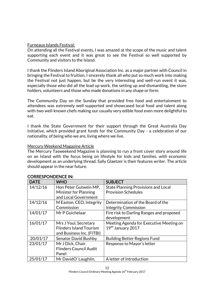### Furneaux Islands Festival:

On attending all the Festival events, I was amazed at the scope of the music and talent supporting each event and it was great to see the Festival so well supported by Community and visitors to the Island.

I thank the Flinders Island Aboriginal Association Inc. as a major partner with Council in bringing the Festival to fruition. I sincerely thank all who put so much work into making the Festival not just happen, but be the very interesting and well-run event it was, especially those who did all the lead up work, the setting up and dismantling, the store holders, volunteers and those who made donations in any shape or form.

The Community Day on the Sunday that provided free food and entertainment to attendees was extremely well supported and showcased local food and talent along with two well-known chefs making our usually very edible food even more delightful to eat.

I thank the State Government for their support through the Great Australia Day Initiative, which provided grant funds for the Community Day - a celebration of our nationality, of being who we are, living where we live.

### Mercury Weekend Magazine Article

The Mercury Tasweekend Magazine is planning to run a front cover story around life on an Island with the focus being on lifestyle for kids and families, with economic development as an underlying thread. Sally Glaetzer is their features writer. The article should appear in the near future.

| <b>DATE</b> | <b>WHO</b>                     | <b>SUBJECT</b>                             |
|-------------|--------------------------------|--------------------------------------------|
| 14/12/16    | Hon Peter Gutwein MP,          | <b>State Planning Provisions and Local</b> |
|             | Minister for Planning          | <b>Provision Schedules</b>                 |
|             | and Local Government           |                                            |
| 14/12/16    | M Easton, CEO, Integrity       | Determination of the Board of the          |
|             | Commission                     | <b>Integrity Commission</b>                |
| 14/01/17    | Mr P Guichelaar                | Fire risk to Darling Ranges and proposed   |
|             |                                | development                                |
| 16/01/17    | Mrs J Youl, Secretary          | Meeting Agenda for Executive Meeting on    |
|             | <b>Flinders Island Tourism</b> | 19th January 2017                          |
|             | and Business Inc. (FITBI)      |                                            |
| 20/01/17    | <b>Senator David Bushby</b>    | <b>Building Better Regions Fund</b>        |
| 23/01/17    | Mr J Dick, Chair,              | Response to Mayor's letter                 |
|             | <b>Flinders Council Audit</b>  |                                            |
|             | Panel                          |                                            |
| 25/01/17    | Mr DavidO' Laughlin,           | A letter of introduction                   |

# CORRESPONDENCE IN: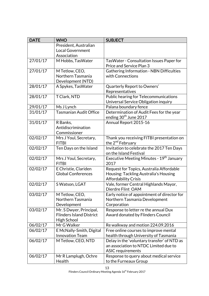| <b>DATE</b> | <b>WHO</b>                                         | <b>SUBJECT</b>                                                                       |
|-------------|----------------------------------------------------|--------------------------------------------------------------------------------------|
|             | President, Australian                              |                                                                                      |
|             | <b>Local Government</b>                            |                                                                                      |
|             | Association                                        |                                                                                      |
| 27/01/17    | M Hobbs, TasWater                                  | TasWater - Consultation Issues Paper for                                             |
|             |                                                    | Price and Service Plan 3                                                             |
| 27/01/17    | M Tetlow, CEO,                                     | <b>Gathering Information - NBN Difficulties</b>                                      |
|             | Northern Tasmania                                  | with Connections                                                                     |
|             | Development (NTD)                                  |                                                                                      |
| 28/01/17    | A Spykes, TasWater                                 | Quarterly Report to Owners'                                                          |
|             |                                                    | Representatives                                                                      |
| 28/01/17    | T Clark, NTD                                       | Public hearing for Telecommunications                                                |
|             |                                                    | Universal Service Obligation inquiry                                                 |
| 29/01/17    | Ms J Lynch                                         | Palana boundary fence                                                                |
| 31/01/17    | <b>Tasmanian Audit Office</b>                      | Determination of Audit Fees for the year                                             |
|             |                                                    | ending 30 <sup>th</sup> June 2017                                                    |
| 31/01/17    | R Banks,                                           | Annual Report 2015-16                                                                |
|             | Antidiscrimination                                 |                                                                                      |
|             | Commissioner                                       |                                                                                      |
| 02/02/17    | Mrs J Youl, Secretary,                             | Thank you receiving FITBI presentation on                                            |
|             | <b>FITBI</b>                                       | the 2 <sup>nd</sup> February                                                         |
| 02/02/17    | Ten Days on the Island                             | Invitation to celebrate the 2017 Ten Days                                            |
|             |                                                    | on the Island Festival                                                               |
| 02/02/17    | Mrs J Youl, Secretary,                             | Executive Meeting Minutes - 19 <sup>th</sup> January                                 |
|             | <b>FITBI</b>                                       | 2017                                                                                 |
| 02/02/17    | E Christie, Clariden                               | Request for Topics, Australia Affordable                                             |
|             | <b>Global Conferences</b>                          | Housing: Tackling Australia's Housing                                                |
|             |                                                    | <b>Affordability Crisis</b>                                                          |
| 02/02/17    | S Watson, LGAT                                     | Vale, former Central Highlands Mayor,                                                |
|             |                                                    | Dierdre Flint OAM                                                                    |
| 03/02/17    | M Tetlow, CEO,                                     | Early notice of appointment of director for                                          |
|             | Northern Tasmania                                  | Northern Tasmania Development                                                        |
|             | Development                                        | Corporation                                                                          |
| 03/02/17    | Mr. S Dwyer, Principal,                            | Response to letter re the annual Dux                                                 |
|             | <b>Flinders Island District</b>                    | Award donated by Flinders Council                                                    |
| 06/02/17    | High School<br>Mr G Walker                         |                                                                                      |
|             |                                                    | Re walkway and motion 224.09.2016                                                    |
| 06/02/17    | E McNally-Smith, Digital<br><b>Innovation Team</b> | Free online courses to improve mental<br>health through University of Tasmania       |
|             |                                                    |                                                                                      |
| 06/02/17    | M Tetlow, CEO, NTD                                 | Delay in the 'voluntary transfer' of NTD as<br>an association to NTDC Limited due to |
|             |                                                    | <b>ASIC</b> requirements                                                             |
| 06/02/17    | Mr R Lamplugh, Ochre                               | Response to query about medical service                                              |
|             | Health                                             | to the Furneaux Group                                                                |
|             |                                                    |                                                                                      |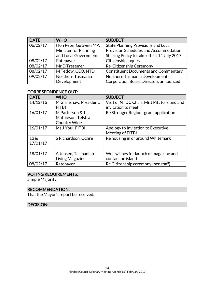| <b>DATE</b> | <b>WHO</b>            | <b>SUBJECT</b>                                          |
|-------------|-----------------------|---------------------------------------------------------|
| 06/02/17    | Hon Peter Gutwein MP, | <b>State Planning Provisions and Local</b>              |
|             | Minister for Planning | Provision Schedules and Accommodation                   |
|             | and Local Government  | Sharing Policy to take effect 1 <sup>st</sup> July 2017 |
| 08/02/17    | Ratepayer             | Citizenship inquiry                                     |
| 08/02/17    | Mr D Tresemer         | Re Citizenship Ceremony                                 |
| 08/02/17    | M Tetlow, CEO, NTD    | <b>Constituent Documents and Commentary</b>             |
| 09/02/17    | Northern Tasmania     | Northern Tasmania Development                           |
|             | Development           | <b>Corporation Board Directors announced</b>            |

# CORRESPONDENCE OUT:

| <b>DATE</b>                    | <b>WHO</b>                                                   | <b>SUBJECT</b>                                                     |
|--------------------------------|--------------------------------------------------------------|--------------------------------------------------------------------|
| 14/12/16                       | M Grimshaw, President,<br><b>FITBI</b>                       | Visit of NTDC Chair, Mr J Pitt to Island and<br>invitation to meet |
| 16/01/17                       | M Patterson & J<br>Mathieson, Telstra<br><b>Country Wide</b> | Re Stronger Regions grant application                              |
| 16/01/17                       | Ms J Youl, FITBI                                             | Apology to Invitation to Executive<br>Meeting of FITBI             |
| $13\,\mathrm{\AA}$<br>17/01/17 | S Richardson, Ochre                                          | Re housing in or around Whitemark                                  |
| 18/01/17                       | A Jensen, Tasmanian<br>Living Magazine                       | Well wishes for launch of magazine and<br>contact on island        |
| 08/02/17                       | Ratepayer                                                    | Re Citizenship ceremony (per staff)                                |

# VOTING REQUIREMENTS:

Simple Majority

# RECOMMENDATION:

That the Mayor's report be received.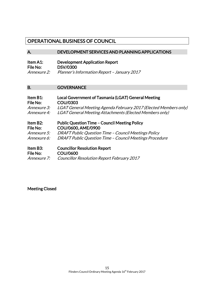# OPERATIONAL BUSINESS OF COUNCIL

### A. DEVELOPMENT SERVICES AND PLANNING APPLICATIONS

# Item A1: Development Application Report<br>File No: DSV/0300 DSV/0300 Annexure 2: Planner's Information Report – January 2017

### B. **GOVERNANCE**

| Item B1:    | Local Government of Tasmania (LGAT) General Meeting              |
|-------------|------------------------------------------------------------------|
| File No:    | <b>COU/0303</b>                                                  |
| Annexure 3: | LGAT General Meeting Agenda February 2017 (Elected Members only) |
| Annexure 4: | LGAT General Meeting Attachments (Elected Members only)          |
| Item B2:    | <b>Public Question Time - Council Meeting Policy</b>             |
| File No:    | COU/0600, AME/0900                                               |

| <i>Annexure 5:</i> | DRAFT Public Question Time - Council Meetings Policy    |
|--------------------|---------------------------------------------------------|
| Annexure 6:        | DRAFT Public Question Time - Council Meetings Procedure |

# Item B3: Councillor Resolution Report

File No: COU/0600

Annexure 7: Councillor Resolution Report February 2017

Meeting Closed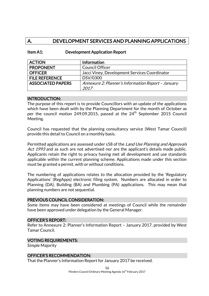# A. DEVELOPMENT SERVICES AND PLANNING APPLICATIONS

| Item A1: | <b>Development Application Report</b> |
|----------|---------------------------------------|
|----------|---------------------------------------|

| <b>ACTION</b>            | Information                                        |
|--------------------------|----------------------------------------------------|
| <b>PROPONENT</b>         | <b>Council Officer</b>                             |
| <b>OFFICER</b>           | Jacci Viney, Development Services Coordinator      |
| <b>FILE REFERENCE</b>    | DSV/0300                                           |
| <b>ASSOCIATED PAPERS</b> | Annexure 2: Planner's Information Report - January |
|                          | 2017                                               |

#### INTRODUCTION:

The purpose of this report is to provide Councillors with an update of the applications which have been dealt with by the Planning Department for the month of October as per the council motion 249.09.2015, passed at the 24th September 2015 Council Meeting.

Council has requested that the planning consultancy service (West Tamar Council) provide this detail to Council on a monthly basis.

Permitted applications are assessed under s58 of the Land Use Planning and Approvals Act 1993 and as such are not advertised nor are the applicant's details made public. Applicants retain the right to privacy having met all development and use standards applicable within the current planning scheme. Applications made under this section must be granted a permit, with or without conditions.

The numbering of applications relates to the allocation provided by the 'Regulatory Applications' (RegApps) electronic filing system. Numbers are allocated in order to Planning (DA), Building (BA) and Plumbing (PA) applications. This may mean that planning numbers are not sequential.

### PREVIOUS COUNCIL CONSIDERATION:

Some items may have been considered at meetings of Council while the remainder have been approved under delegation by the General Manager.

### OFFICER'S REPORT:

Refer to Annexure 2: Planner's Information Report – January 2017, provided by West Tamar Council.

#### VOTING REQUIREMENTS:

Simple Majority

### OFFICER'S RECOMMENDATION:

That the Planner's Information Report for January 2017 be received.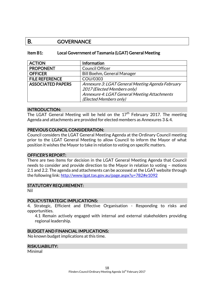# B. GOVERNANCE

### Item B1: Local Government of Tasmania (LGAT) General Meeting

| <b>ACTION</b>            | Information                                      |
|--------------------------|--------------------------------------------------|
| <b>PROPONENT</b>         | <b>Council Officer</b>                           |
| <b>OFFICER</b>           | Bill Boehm, General Manager                      |
| <b>FILE REFERENCE</b>    | COU/0303                                         |
| <b>ASSOCIATED PAPERS</b> | Annexure 3: LGAT General Meeting Agenda February |
|                          | 2017 (Elected Members only)                      |
|                          | Annexure 4: LGAT General Meeting Attachments     |
|                          | (Elected Members only)                           |

### INTRODUCTION:

The LGAT General Meeting will be held on the  $17<sup>th</sup>$  February 2017. The meeting Agenda and attachments are provided for elected members as Annexures 3 & 4.

### PREVIOUS COUNCIL CONSIDERATION:

Council considers the LGAT General Meeting Agenda at the Ordinary Council meeting prior to the LGAT General Meeting to allow Council to inform the Mayor of what position it wishes the Mayor to take in relation to voting on specific matters.

### OFFICER'S REPORT:

There are two items for decision in the LGAT General Meeting Agenda that Council needs to consider and provide direction to the Mayor in relation to voting – motions 2.1 and 2.2. The agenda and attachments can be accessed at the LGAT website through the following link:<http://www.lgat.tas.gov.au/page.aspx?u=782#e1092>

### STATUTORY REQUIREMENT:

Nil

### POLICY/STRATEGIC IMPLICATIONS:

4. Strategic, Efficient and Effective Organisation - Responding to risks and opportunities.

4.1 Remain actively engaged with internal and external stakeholders providing regional leadership.

### BUDGET AND FINANCIAL IMPLICATIONS:

No known budget implications at this time.

### RISK/LIABILITY:

Minimal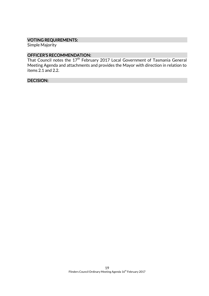# VOTING REQUIREMENTS:

Simple Majority

# OFFICER'S RECOMMENDATION:

That Council notes the 17<sup>th</sup> February 2017 Local Government of Tasmania General Meeting Agenda and attachments and provides the Mayor with direction in relation to items 2.1 and 2.2.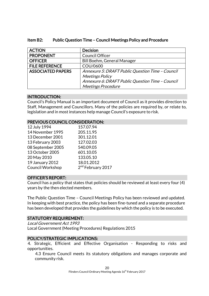| Item B2: | <b>Public Question Time - Council Meetings Policy and Procedure</b> |
|----------|---------------------------------------------------------------------|
|----------|---------------------------------------------------------------------|

| <b>ACTION</b>            | <b>Decision</b>                                  |
|--------------------------|--------------------------------------------------|
| <b>PROPONENT</b>         | Council Officer                                  |
| <b>OFFICER</b>           | Bill Boehm, General Manager                      |
| <b>FILE REFERENCE</b>    | COU/0600                                         |
| <b>ASSOCIATED PAPERS</b> | Annexure 5: DRAFT Public Question Time - Council |
|                          | <b>Meetings Policy</b>                           |
|                          | Annexure 6: DRAFT Public Question Time - Council |
|                          | <b>Meetings Procedure</b>                        |

### INTRODUCTION:

Council's Policy Manual is an important document of Council as it provides direction to Staff, Management and Councillors. Many of the policies are required by, or relate to, legislation and in most instances help manage Council's exposure to risk.

### PREVIOUS COUNCIL CONSIDERATION:

| 12 July 1994      | 157.07.94                     |
|-------------------|-------------------------------|
| 14 November 1995  | 205.11.95                     |
| 13 December 2001  | 301.12.01                     |
| 13 February 2003  | 127.02.03                     |
| 08 September 2005 | 540.09.05                     |
| 13 October 2005   | 601.10.05                     |
| 20 May 2010       | 133.05.10                     |
| 19 January 2012   | 18.01.2012                    |
| Council Workshop  | 2 <sup>nd</sup> February 2017 |
|                   |                               |

### OFFICER'S REPORT:

Council has a policy that states that policies should be reviewed at least every four (4) years by the then elected members.

The Public Question Time – Council Meetings Policy has been reviewed and updated. In keeping with best practice, the policy has been fine-tuned and a separate procedure has been developed that provides the guidelines by which the policy is to be executed.

# STATUTORY REQUIREMENT:

Local Government Act 1993 Local Government (Meeting Procedures) Regulations 2015

# POLICY/STRATEGIC IMPLICATIONS:

4. Strategic, Efficient and Effective Organisation - Responding to risks and opportunities.

4.3 Ensure Council meets its statutory obligations and manages corporate and community risk.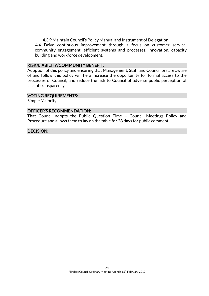4.3.9 Maintain Council's Policy Manual and Instrument of Delegation

4.4 Drive continuous improvement through a focus on customer service, community engagement, efficient systems and processes, innovation, capacity building and workforce development.

### RISK/LIABILITY/COMMUNITY BENEFIT:

Adoption of this policy and ensuring that Management, Staff and Councillors are aware of and follow this policy will help increase the opportunity for formal access to the processes of Council, and reduce the risk to Council of adverse public perception of lack of transparency.

#### VOTING REQUIREMENTS:

Simple Majority

#### OFFICER'S RECOMMENDATION:

That Council adopts the Public Question Time – Council Meetings Policy and Procedure and allows them to lay on the table for 28 days for public comment.